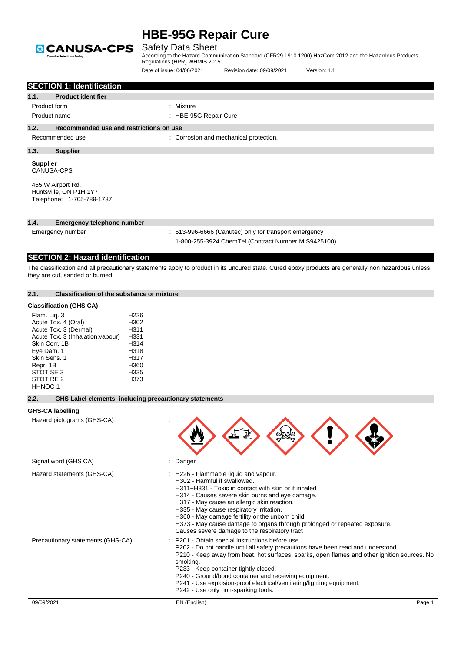

### Safety Data Sheet

|                                                                                                              |                                                                                   | Date of issue: 04/06/2021                                                                | Revision date: 09/09/2021                                                                                                                                                                                                                                                                                                                                                                                                          | Version: 1.1                                                                                                                                                                                                                                                  |
|--------------------------------------------------------------------------------------------------------------|-----------------------------------------------------------------------------------|------------------------------------------------------------------------------------------|------------------------------------------------------------------------------------------------------------------------------------------------------------------------------------------------------------------------------------------------------------------------------------------------------------------------------------------------------------------------------------------------------------------------------------|---------------------------------------------------------------------------------------------------------------------------------------------------------------------------------------------------------------------------------------------------------------|
|                                                                                                              | <b>SECTION 1: Identification</b>                                                  |                                                                                          |                                                                                                                                                                                                                                                                                                                                                                                                                                    |                                                                                                                                                                                                                                                               |
| 1.1.                                                                                                         | <b>Product identifier</b>                                                         |                                                                                          |                                                                                                                                                                                                                                                                                                                                                                                                                                    |                                                                                                                                                                                                                                                               |
| Product form                                                                                                 |                                                                                   | : Mixture                                                                                |                                                                                                                                                                                                                                                                                                                                                                                                                                    |                                                                                                                                                                                                                                                               |
|                                                                                                              | Product name                                                                      | : HBE-95G Repair Cure                                                                    |                                                                                                                                                                                                                                                                                                                                                                                                                                    |                                                                                                                                                                                                                                                               |
| 1.2.                                                                                                         | Recommended use and restrictions on use                                           |                                                                                          |                                                                                                                                                                                                                                                                                                                                                                                                                                    |                                                                                                                                                                                                                                                               |
|                                                                                                              | Recommended use                                                                   |                                                                                          | : Corrosion and mechanical protection.                                                                                                                                                                                                                                                                                                                                                                                             |                                                                                                                                                                                                                                                               |
| 1.3.                                                                                                         | <b>Supplier</b>                                                                   |                                                                                          |                                                                                                                                                                                                                                                                                                                                                                                                                                    |                                                                                                                                                                                                                                                               |
| <b>Supplier</b>                                                                                              | CANUSA-CPS                                                                        |                                                                                          |                                                                                                                                                                                                                                                                                                                                                                                                                                    |                                                                                                                                                                                                                                                               |
|                                                                                                              | 455 W Airport Rd,<br>Huntsville, ON P1H 1Y7<br>Telephone: 1-705-789-1787          |                                                                                          |                                                                                                                                                                                                                                                                                                                                                                                                                                    |                                                                                                                                                                                                                                                               |
| 1.4.                                                                                                         | <b>Emergency telephone number</b>                                                 |                                                                                          |                                                                                                                                                                                                                                                                                                                                                                                                                                    |                                                                                                                                                                                                                                                               |
|                                                                                                              | Emergency number                                                                  |                                                                                          | : 613-996-6666 (Canutec) only for transport emergency<br>1-800-255-3924 ChemTel (Contract Number MIS9425100)                                                                                                                                                                                                                                                                                                                       |                                                                                                                                                                                                                                                               |
|                                                                                                              | <b>SECTION 2: Hazard identification</b>                                           |                                                                                          |                                                                                                                                                                                                                                                                                                                                                                                                                                    |                                                                                                                                                                                                                                                               |
|                                                                                                              | they are cut, sanded or burned.                                                   |                                                                                          |                                                                                                                                                                                                                                                                                                                                                                                                                                    | The classification and all precautionary statements apply to product in its uncured state. Cured epoxy products are generally non hazardous unless                                                                                                            |
| 2.1.                                                                                                         | <b>Classification of the substance or mixture</b>                                 |                                                                                          |                                                                                                                                                                                                                                                                                                                                                                                                                                    |                                                                                                                                                                                                                                                               |
|                                                                                                              | <b>Classification (GHS CA)</b>                                                    |                                                                                          |                                                                                                                                                                                                                                                                                                                                                                                                                                    |                                                                                                                                                                                                                                                               |
| Flam. Lig. 3<br>Skin Corr. 1B<br>Eye Dam. 1<br>Skin Sens. 1<br>Repr. 1B<br>STOT SE 3<br>STOT RE 2<br>HHNOC 1 | Acute Tox. 4 (Oral)<br>Acute Tox. 3 (Dermal)<br>Acute Tox. 3 (Inhalation: vapour) | H <sub>226</sub><br>H302<br>H311<br>H331<br>H314<br>H318<br>H317<br>H360<br>H335<br>H373 |                                                                                                                                                                                                                                                                                                                                                                                                                                    |                                                                                                                                                                                                                                                               |
| 2.2.                                                                                                         |                                                                                   | GHS Label elements, including precautionary statements                                   |                                                                                                                                                                                                                                                                                                                                                                                                                                    |                                                                                                                                                                                                                                                               |
|                                                                                                              | <b>GHS-CA labelling</b>                                                           |                                                                                          |                                                                                                                                                                                                                                                                                                                                                                                                                                    |                                                                                                                                                                                                                                                               |
|                                                                                                              | Hazard pictograms (GHS-CA)                                                        |                                                                                          |                                                                                                                                                                                                                                                                                                                                                                                                                                    |                                                                                                                                                                                                                                                               |
|                                                                                                              | Signal word (GHS CA)                                                              | : Danger                                                                                 |                                                                                                                                                                                                                                                                                                                                                                                                                                    |                                                                                                                                                                                                                                                               |
|                                                                                                              | Hazard statements (GHS-CA)<br>Precautionary statements (GHS-CA)                   |                                                                                          | : H226 - Flammable liquid and vapour.<br>H302 - Harmful if swallowed.<br>H311+H331 - Toxic in contact with skin or if inhaled<br>H314 - Causes severe skin burns and eye damage.<br>H317 - May cause an allergic skin reaction.<br>H335 - May cause respiratory irritation.<br>H360 - May damage fertility or the unborn child.<br>Causes severe damage to the respiratory tract<br>P201 - Obtain special instructions before use. | H373 - May cause damage to organs through prolonged or repeated exposure.<br>P202 - Do not handle until all safety precautions have been read and understood.<br>P210 - Keep away from heat, hot surfaces, sparks, open flames and other ignition sources. No |
| 09/09/2021                                                                                                   |                                                                                   | smoking.<br>EN (English)                                                                 | P233 - Keep container tightly closed.<br>P240 - Ground/bond container and receiving equipment.<br>P241 - Use explosion-proof electrical/ventilating/lighting equipment.<br>P242 - Use only non-sparking tools.                                                                                                                                                                                                                     | Page 1                                                                                                                                                                                                                                                        |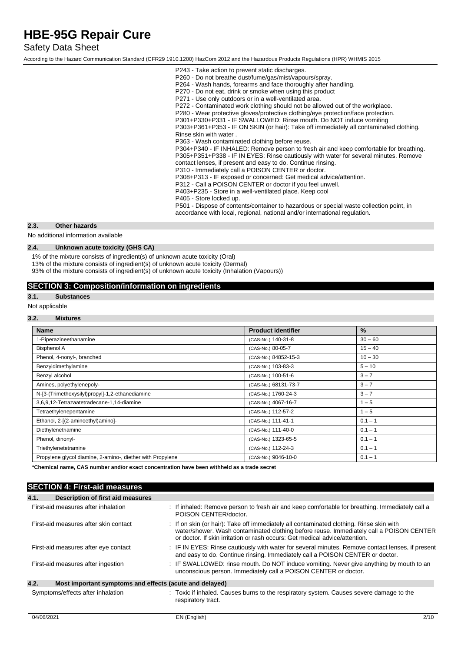### Safety Data Sheet

According to the Hazard Communication Standard (CFR29 1910.1200) HazCom 2012 and the Hazardous Products Regulations (HPR) WHMIS 2015

| P243 - Take action to prevent static discharges.<br>P260 - Do not breathe dust/fume/gas/mist/vapours/spray.<br>P264 - Wash hands, forearms and face thoroughly after handling.<br>P270 - Do not eat, drink or smoke when using this product<br>P271 - Use only outdoors or in a well-ventilated area.<br>P272 - Contaminated work clothing should not be allowed out of the workplace.<br>P280 - Wear protective gloves/protective clothing/eye protection/face protection.<br>P301+P330+P331 - IF SWALLOWED: Rinse mouth. Do NOT induce vomiting<br>P303+P361+P353 - IF ON SKIN (or hair): Take off immediately all contaminated clothing.<br>Rinse skin with water.<br>P363 - Wash contaminated clothing before reuse.<br>P304+P340 - IF INHALED: Remove person to fresh air and keep comfortable for breathing.<br>P305+P351+P338 - IF IN EYES: Rinse cautiously with water for several minutes. Remove<br>contact lenses, if present and easy to do. Continue rinsing.<br>P310 - Immediately call a POISON CENTER or doctor.<br>P308+P313 - IF exposed or concerned: Get medical advice/attention.<br>P312 - Call a POISON CENTER or doctor if you feel unwell.<br>P403+P235 - Store in a well-ventilated place. Keep cool<br>P405 - Store locked up.<br>P501 - Dispose of contents/container to hazardous or special waste collection point, in<br>accordance with local, regional, national and/or international regulation. |
|------------------------------------------------------------------------------------------------------------------------------------------------------------------------------------------------------------------------------------------------------------------------------------------------------------------------------------------------------------------------------------------------------------------------------------------------------------------------------------------------------------------------------------------------------------------------------------------------------------------------------------------------------------------------------------------------------------------------------------------------------------------------------------------------------------------------------------------------------------------------------------------------------------------------------------------------------------------------------------------------------------------------------------------------------------------------------------------------------------------------------------------------------------------------------------------------------------------------------------------------------------------------------------------------------------------------------------------------------------------------------------------------------------------------------------|
|                                                                                                                                                                                                                                                                                                                                                                                                                                                                                                                                                                                                                                                                                                                                                                                                                                                                                                                                                                                                                                                                                                                                                                                                                                                                                                                                                                                                                                    |

### **2.3. Other hazards**

No additional information available

### **2.4. Unknown acute toxicity (GHS CA)**

1% of the mixture consists of ingredient(s) of unknown acute toxicity (Oral)

13% of the mixture consists of ingredient(s) of unknown acute toxicity (Dermal)

93% of the mixture consists of ingredient(s) of unknown acute toxicity (Inhalation (Vapours))

### **SECTION 3: Composition/information on ingredients**

### **3.1. Substances**

Not applicable

### **3.2. Mixtures**

| <b>Name</b>                                                | <b>Product identifier</b> | $\frac{9}{6}$ |
|------------------------------------------------------------|---------------------------|---------------|
| 1-Piperazineethanamine                                     | (CAS-No.) 140-31-8        | $30 - 60$     |
| <b>Bisphenol A</b>                                         | (CAS-No.) 80-05-7         | $15 - 40$     |
| Phenol, 4-nonyl-, branched                                 | (CAS-No.) 84852-15-3      | $10 - 30$     |
| Benzyldimethylamine                                        | (CAS-No.) 103-83-3        | $5 - 10$      |
| Benzyl alcohol                                             | (CAS-No.) 100-51-6        | $3 - 7$       |
| Amines, polyethylenepoly-                                  | (CAS-No.) 68131-73-7      | $3 - 7$       |
| N-[3-(Trimethoxysilyl)propyl]-1,2-ethanediamine            | (CAS-No.) 1760-24-3       | $3 - 7$       |
| 3,6,9,12-Tetrazaatetradecane-1,14-diamine                  | (CAS-No.) 4067-16-7       | $1 - 5$       |
| Tetraethylenepentamine                                     | (CAS-No.) 112-57-2        | $1 - 5$       |
| Ethanol, 2-[(2-aminoethyl)amino]-                          | (CAS-No.) 111-41-1        | $0.1 - 1$     |
| Diethylenetriamine                                         | (CAS-No.) 111-40-0        | $0.1 - 1$     |
| Phenol, dinonyl-                                           | (CAS-No.) 1323-65-5       | $0.1 - 1$     |
| Triethylenetetramine                                       | (CAS-No.) 112-24-3        | $0.1 - 1$     |
| Propylene glycol diamine, 2-amino-, diether with Propylene | (CAS-No.) 9046-10-0       | $0.1 - 1$     |

**\*Chemical name, CAS number and/or exact concentration have been withheld as a trade secret**

### **SECTION 4: First-aid measures**

| 4.1.<br>Description of first aid measures                       |                                                                                                                                                                                                                                                                   |
|-----------------------------------------------------------------|-------------------------------------------------------------------------------------------------------------------------------------------------------------------------------------------------------------------------------------------------------------------|
| First-aid measures after inhalation                             | : If inhaled: Remove person to fresh air and keep comfortable for breathing. Immediately call a<br>POISON CENTER/doctor.                                                                                                                                          |
| First-aid measures after skin contact                           | : If on skin (or hair): Take off immediately all contaminated clothing. Rinse skin with<br>water/shower. Wash contaminated clothing before reuse. Immediately call a POISON CENTER<br>or doctor. If skin irritation or rash occurs: Get medical advice/attention. |
| First-aid measures after eye contact                            | : IF IN EYES: Rinse cautiously with water for several minutes. Remove contact lenses, if present<br>and easy to do. Continue rinsing. Immediately call a POISON CENTER or doctor.                                                                                 |
| First-aid measures after ingestion                              | : IF SWALLOWED: rinse mouth. Do NOT induce vomiting. Never give anything by mouth to an<br>unconscious person. Immediately call a POISON CENTER or doctor.                                                                                                        |
| 4.2.<br>Most important symptoms and effects (acute and delayed) |                                                                                                                                                                                                                                                                   |
| Symptoms/effects after inhalation                               | : Toxic if inhaled. Causes burns to the respiratory system. Causes severe damage to the<br>respiratory tract.                                                                                                                                                     |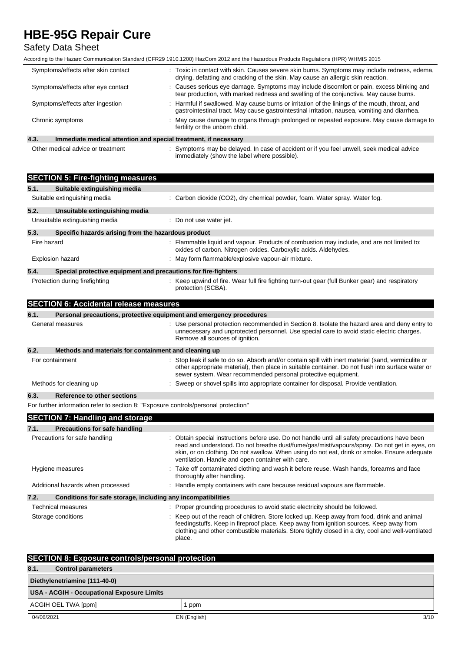## Safety Data Sheet

According to the Hazard Communication Standard (CFR29 1910.1200) HazCom 2012 and the Hazardous Products Regulations (HPR) WHMIS 2015

| Symptoms/effects after skin contact                                                                                                            | : Toxic in contact with skin. Causes severe skin burns. Symptoms may include redness, edema,<br>drying, defatting and cracking of the skin. May cause an allergic skin reaction.                |  |
|------------------------------------------------------------------------------------------------------------------------------------------------|-------------------------------------------------------------------------------------------------------------------------------------------------------------------------------------------------|--|
| Symptoms/effects after eye contact                                                                                                             | : Causes serious eye damage. Symptoms may include discomfort or pain, excess blinking and<br>tear production, with marked redness and swelling of the conjunctiva. May cause burns.             |  |
| Symptoms/effects after ingestion                                                                                                               | : Harmful if swallowed. May cause burns or irritation of the linings of the mouth, throat, and<br>gastrointestinal tract. May cause gastrointestinal irritation, nausea, vomiting and diarrhea. |  |
| : May cause damage to organs through prolonged or repeated exposure. May cause damage to<br>Chronic symptoms<br>fertility or the unborn child. |                                                                                                                                                                                                 |  |
| 4.3.<br>Immediate medical attention and special treatment, if necessary                                                                        |                                                                                                                                                                                                 |  |

Other medical advice or treatment : Symptoms may be delayed. In case of accident or if you feel unwell, seek medical advice immediately (show the label where possible).

| <b>SECTION 5: Fire-fighting measures</b>                                            |                                                                                                                                                                                                                                                                                                                                                     |
|-------------------------------------------------------------------------------------|-----------------------------------------------------------------------------------------------------------------------------------------------------------------------------------------------------------------------------------------------------------------------------------------------------------------------------------------------------|
| Suitable extinguishing media<br>5.1.                                                |                                                                                                                                                                                                                                                                                                                                                     |
| Suitable extinguishing media                                                        | : Carbon dioxide (CO2), dry chemical powder, foam. Water spray. Water fog.                                                                                                                                                                                                                                                                          |
| 5.2.<br>Unsuitable extinguishing media                                              |                                                                                                                                                                                                                                                                                                                                                     |
| Unsuitable extinguishing media                                                      | : Do not use water jet.                                                                                                                                                                                                                                                                                                                             |
| 5.3.<br>Specific hazards arising from the hazardous product                         |                                                                                                                                                                                                                                                                                                                                                     |
| Fire hazard                                                                         | : Flammable liquid and vapour. Products of combustion may include, and are not limited to:<br>oxides of carbon. Nitrogen oxides. Carboxylic acids. Aldehydes.                                                                                                                                                                                       |
| <b>Explosion hazard</b>                                                             | : May form flammable/explosive vapour-air mixture.                                                                                                                                                                                                                                                                                                  |
| 5.4.<br>Special protective equipment and precautions for fire-fighters              |                                                                                                                                                                                                                                                                                                                                                     |
| Protection during firefighting                                                      | : Keep upwind of fire. Wear full fire fighting turn-out gear (full Bunker gear) and respiratory<br>protection (SCBA).                                                                                                                                                                                                                               |
| <b>SECTION 6: Accidental release measures</b>                                       |                                                                                                                                                                                                                                                                                                                                                     |
| 6.1.                                                                                | Personal precautions, protective equipment and emergency procedures                                                                                                                                                                                                                                                                                 |
| General measures                                                                    | : Use personal protection recommended in Section 8. Isolate the hazard area and deny entry to<br>unnecessary and unprotected personnel. Use special care to avoid static electric charges.<br>Remove all sources of ignition.                                                                                                                       |
| 6.2.<br>Methods and materials for containment and cleaning up                       |                                                                                                                                                                                                                                                                                                                                                     |
| For containment                                                                     | : Stop leak if safe to do so. Absorb and/or contain spill with inert material (sand, vermiculite or<br>other appropriate material), then place in suitable container. Do not flush into surface water or<br>sewer system. Wear recommended personal protective equipment.                                                                           |
| Methods for cleaning up                                                             | : Sweep or shovel spills into appropriate container for disposal. Provide ventilation.                                                                                                                                                                                                                                                              |
| 6.3.<br><b>Reference to other sections</b>                                          |                                                                                                                                                                                                                                                                                                                                                     |
| For further information refer to section 8: "Exposure controls/personal protection" |                                                                                                                                                                                                                                                                                                                                                     |
| <b>SECTION 7: Handling and storage</b>                                              |                                                                                                                                                                                                                                                                                                                                                     |
| 7.1.<br><b>Precautions for safe handling</b>                                        |                                                                                                                                                                                                                                                                                                                                                     |
| Precautions for safe handling                                                       | : Obtain special instructions before use. Do not handle until all safety precautions have been<br>read and understood. Do not breathe dust/fume/gas/mist/vapours/spray. Do not get in eyes, on<br>skin, or on clothing. Do not swallow. When using do not eat, drink or smoke. Ensure adequate<br>ventilation. Handle and open container with care. |
| Hygiene measures                                                                    | : Take off contaminated clothing and wash it before reuse. Wash hands, forearms and face<br>thoroughly after handling.                                                                                                                                                                                                                              |
| Additional hazards when processed                                                   | : Handle empty containers with care because residual vapours are flammable.                                                                                                                                                                                                                                                                         |
| 7.2.<br>Conditions for safe storage, including any incompatibilities                |                                                                                                                                                                                                                                                                                                                                                     |
| <b>Technical measures</b>                                                           | : Proper grounding procedures to avoid static electricity should be followed.                                                                                                                                                                                                                                                                       |
| Storage conditions                                                                  | : Keep out of the reach of children. Store locked up. Keep away from food, drink and animal<br>feedingstuffs. Keep in fireproof place. Keep away from ignition sources. Keep away from<br>clothing and other combustible materials. Store tightly closed in a dry, cool and well-ventilated<br>place.                                               |

| <b>SECTION 8: Exposure controls/personal protection</b> |              |      |
|---------------------------------------------------------|--------------|------|
| 8.1.<br><b>Control parameters</b>                       |              |      |
| Diethylenetriamine (111-40-0)                           |              |      |
| USA - ACGIH - Occupational Exposure Limits              |              |      |
| ACGIH OEL TWA [ppm]<br>ppm                              |              |      |
| 04/06/2021                                              | EN (English) | 3/10 |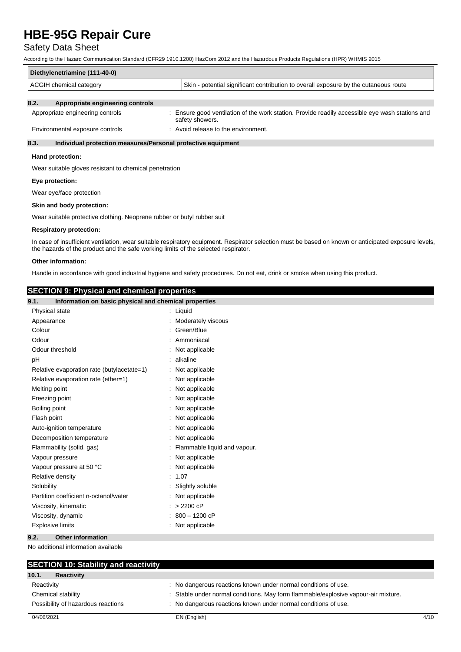### Safety Data Sheet

According to the Hazard Communication Standard (CFR29 1910.1200) HazCom 2012 and the Hazardous Products Regulations (HPR) WHMIS 2015

| Diethylenetriamine (111-40-0)                               |                                                                                      |  |
|-------------------------------------------------------------|--------------------------------------------------------------------------------------|--|
| ACGIH chemical category                                     | Skin - potential significant contribution to overall exposure by the cutaneous route |  |
| $\mathbf{a}$<br>A menamulata, amerina antico, a que tualla- |                                                                                      |  |

#### **8.2. Appropriate engineering controls**

| Appropriate engineering controls | Ensure good ventilation of the work station. Provide readily accessible eye wash stations and<br>safety showers. |
|----------------------------------|------------------------------------------------------------------------------------------------------------------|
| Environmental exposure controls  | Avoid release to the environment.                                                                                |

### **8.3. Individual protection measures/Personal protective equipment**

#### **Hand protection:**

Wear suitable gloves resistant to chemical penetration

#### **Eye protection:**

Wear eye/face protection

#### **Skin and body protection:**

Wear suitable protective clothing. Neoprene rubber or butyl rubber suit

#### **Respiratory protection:**

In case of insufficient ventilation, wear suitable respiratory equipment. Respirator selection must be based on known or anticipated exposure levels, the hazards of the product and the safe working limits of the selected respirator.

#### **Other information:**

Handle in accordance with good industrial hygiene and safety procedures. Do not eat, drink or smoke when using this product.

### **SECTION 9: Physical and chemical properties**

| $\cdots$ , ,<br>---------<br>9.1.<br>Information on basic physical and chemical properties |                                |
|--------------------------------------------------------------------------------------------|--------------------------------|
| Physical state                                                                             | : Liquid                       |
| Appearance                                                                                 | : Moderately viscous           |
| Colour                                                                                     | : Green/Blue                   |
| Odour                                                                                      | Ammoniacal                     |
| Odour threshold                                                                            | Not applicable                 |
| pH                                                                                         | alkaline                       |
| Relative evaporation rate (butylacetate=1)                                                 | Not applicable                 |
| Relative evaporation rate (ether=1)                                                        | Not applicable                 |
| Melting point                                                                              | : Not applicable               |
| Freezing point                                                                             | Not applicable                 |
| Boiling point                                                                              | Not applicable                 |
| Flash point                                                                                | Not applicable                 |
| Auto-ignition temperature                                                                  | Not applicable                 |
| Decomposition temperature                                                                  | Not applicable                 |
| Flammability (solid, gas)                                                                  | : Flammable liquid and vapour. |
| Vapour pressure                                                                            | : Not applicable               |
| Vapour pressure at 50 °C                                                                   | : Not applicable               |
| Relative density                                                                           | : 1.07                         |
| Solubility                                                                                 | Slightly soluble               |
| Partition coefficient n-octanol/water                                                      | : Not applicable               |
| Viscosity, kinematic                                                                       | $: > 2200$ cP                  |
| Viscosity, dynamic                                                                         | 800 - 1200 cP                  |
| <b>Explosive limits</b>                                                                    | : Not applicable               |
| 9.2.<br><b>Other information</b>                                                           |                                |

No additional information available

| <b>SECTION 10: Stability and reactivity</b> |                                                                                    |      |
|---------------------------------------------|------------------------------------------------------------------------------------|------|
| 10.1.<br><b>Reactivity</b>                  |                                                                                    |      |
| Reactivity                                  | : No dangerous reactions known under normal conditions of use.                     |      |
| Chemical stability                          | : Stable under normal conditions. May form flammable/explosive vapour-air mixture. |      |
| Possibility of hazardous reactions          | : No dangerous reactions known under normal conditions of use.                     |      |
| 04/06/2021                                  | EN (English)                                                                       | 4/10 |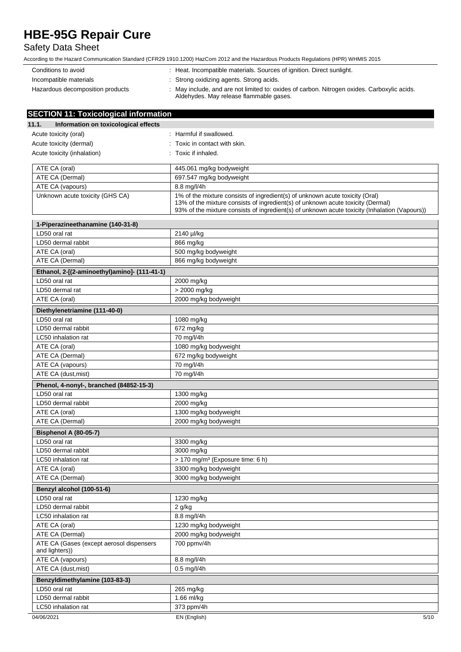## Safety Data Sheet

| Conditions to avoid              | : Heat. Incompatible materials. Sources of ignition. Direct sunlight.                                                                  |
|----------------------------------|----------------------------------------------------------------------------------------------------------------------------------------|
| Incompatible materials           | : Strong oxidizing agents. Strong acids.                                                                                               |
| Hazardous decomposition products | : May include, and are not limited to: oxides of carbon. Nitrogen oxides. Carboxylic acids.<br>Aldehydes. May release flammable gases. |

| <b>SECTION 11: Toxicological information</b>               |                                                                                                                                                                                                                                                                  |
|------------------------------------------------------------|------------------------------------------------------------------------------------------------------------------------------------------------------------------------------------------------------------------------------------------------------------------|
| 11.1.<br>Information on toxicological effects              |                                                                                                                                                                                                                                                                  |
| Acute toxicity (oral)                                      | : Harmful if swallowed.                                                                                                                                                                                                                                          |
| Acute toxicity (dermal)                                    | : Toxic in contact with skin.                                                                                                                                                                                                                                    |
| Acute toxicity (inhalation)                                | : Toxic if inhaled.                                                                                                                                                                                                                                              |
|                                                            |                                                                                                                                                                                                                                                                  |
| ATE CA (oral)                                              | 445.061 mg/kg bodyweight                                                                                                                                                                                                                                         |
| ATE CA (Dermal)                                            | 697.547 mg/kg bodyweight                                                                                                                                                                                                                                         |
| ATE CA (vapours)                                           | 8.8 mg/l/4h                                                                                                                                                                                                                                                      |
| Unknown acute toxicity (GHS CA)                            | 1% of the mixture consists of ingredient(s) of unknown acute toxicity (Oral)<br>13% of the mixture consists of ingredient(s) of unknown acute toxicity (Dermal)<br>93% of the mixture consists of ingredient(s) of unknown acute toxicity (Inhalation (Vapours)) |
| 1-Piperazineethanamine (140-31-8)                          |                                                                                                                                                                                                                                                                  |
| LD50 oral rat                                              | 2140 µl/kg                                                                                                                                                                                                                                                       |
| LD50 dermal rabbit                                         | 866 mg/kg                                                                                                                                                                                                                                                        |
| ATE CA (oral)                                              | 500 mg/kg bodyweight                                                                                                                                                                                                                                             |
| ATE CA (Dermal)                                            | 866 mg/kg bodyweight                                                                                                                                                                                                                                             |
| Ethanol, 2-[(2-aminoethyl)amino]- (111-41-1)               |                                                                                                                                                                                                                                                                  |
| LD50 oral rat                                              | 2000 mg/kg                                                                                                                                                                                                                                                       |
| LD50 dermal rat                                            | > 2000 mg/kg                                                                                                                                                                                                                                                     |
| ATE CA (oral)                                              | 2000 mg/kg bodyweight                                                                                                                                                                                                                                            |
| Diethylenetriamine (111-40-0)                              |                                                                                                                                                                                                                                                                  |
| LD50 oral rat                                              | 1080 mg/kg                                                                                                                                                                                                                                                       |
| LD50 dermal rabbit                                         | 672 mg/kg                                                                                                                                                                                                                                                        |
| LC50 inhalation rat                                        | 70 mg/l/4h                                                                                                                                                                                                                                                       |
| ATE CA (oral)                                              | 1080 mg/kg bodyweight                                                                                                                                                                                                                                            |
| ATE CA (Dermal)                                            | 672 mg/kg bodyweight                                                                                                                                                                                                                                             |
| ATE CA (vapours)                                           | 70 mg/l/4h                                                                                                                                                                                                                                                       |
| ATE CA (dust, mist)                                        | 70 mg/l/4h                                                                                                                                                                                                                                                       |
|                                                            |                                                                                                                                                                                                                                                                  |
| Phenol, 4-nonyl-, branched (84852-15-3)                    |                                                                                                                                                                                                                                                                  |
| LD50 oral rat                                              | 1300 mg/kg                                                                                                                                                                                                                                                       |
| LD50 dermal rabbit                                         | 2000 mg/kg                                                                                                                                                                                                                                                       |
| ATE CA (oral)                                              | 1300 mg/kg bodyweight                                                                                                                                                                                                                                            |
| ATE CA (Dermal)                                            | 2000 mg/kg bodyweight                                                                                                                                                                                                                                            |
| <b>Bisphenol A (80-05-7)</b>                               |                                                                                                                                                                                                                                                                  |
| LD50 oral rat                                              | 3300 mg/kg                                                                                                                                                                                                                                                       |
| LD50 dermal rabbit                                         | 3000 mg/kg                                                                                                                                                                                                                                                       |
| LC50 inhalation rat                                        | > 170 mg/m <sup>3</sup> (Exposure time: 6 h)                                                                                                                                                                                                                     |
| ATE CA (oral)                                              | 3300 mg/kg bodyweight                                                                                                                                                                                                                                            |
| ATE CA (Dermal)                                            | 3000 mg/kg bodyweight                                                                                                                                                                                                                                            |
| Benzyl alcohol (100-51-6)                                  |                                                                                                                                                                                                                                                                  |
| LD50 oral rat                                              | 1230 mg/kg                                                                                                                                                                                                                                                       |
| LD50 dermal rabbit                                         | 2 g/kg                                                                                                                                                                                                                                                           |
| LC50 inhalation rat                                        | 8.8 mg/l/4h                                                                                                                                                                                                                                                      |
| ATE CA (oral)                                              | 1230 mg/kg bodyweight                                                                                                                                                                                                                                            |
| ATE CA (Dermal)                                            | 2000 mg/kg bodyweight                                                                                                                                                                                                                                            |
| ATE CA (Gases (except aerosol dispensers<br>and lighters)) | 700 ppmv/4h                                                                                                                                                                                                                                                      |
| ATE CA (vapours)                                           | 8.8 mg/l/4h                                                                                                                                                                                                                                                      |
| ATE CA (dust, mist)                                        | $0.5$ mg/l/4h                                                                                                                                                                                                                                                    |
| Benzyldimethylamine (103-83-3)                             |                                                                                                                                                                                                                                                                  |
| LD50 oral rat                                              | 265 mg/kg                                                                                                                                                                                                                                                        |
| LD50 dermal rabbit                                         | 1.66 ml/kg                                                                                                                                                                                                                                                       |
| LC50 inhalation rat                                        | 373 ppm/4h                                                                                                                                                                                                                                                       |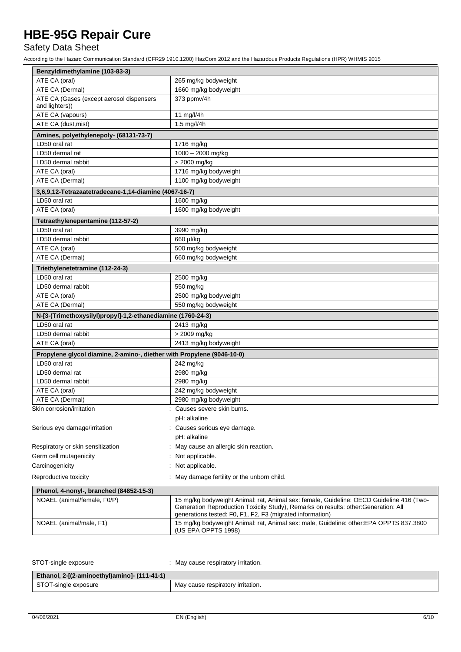## Safety Data Sheet

| Benzyldimethylamine (103-83-3)                                         |                                                                                                                                                                                                                                              |  |
|------------------------------------------------------------------------|----------------------------------------------------------------------------------------------------------------------------------------------------------------------------------------------------------------------------------------------|--|
| ATE CA (oral)                                                          | 265 mg/kg bodyweight                                                                                                                                                                                                                         |  |
| ATE CA (Dermal)                                                        | 1660 mg/kg bodyweight                                                                                                                                                                                                                        |  |
| ATE CA (Gases (except aerosol dispensers                               | 373 ppmv/4h                                                                                                                                                                                                                                  |  |
| and lighters))                                                         |                                                                                                                                                                                                                                              |  |
| ATE CA (vapours)                                                       | 11 mg/l/4h                                                                                                                                                                                                                                   |  |
| ATE CA (dust, mist)                                                    | 1.5 mg/l/4h                                                                                                                                                                                                                                  |  |
| Amines, polyethylenepoly- (68131-73-7)                                 |                                                                                                                                                                                                                                              |  |
| LD50 oral rat                                                          | 1716 mg/kg                                                                                                                                                                                                                                   |  |
| LD50 dermal rat                                                        | 1000 - 2000 mg/kg                                                                                                                                                                                                                            |  |
| LD50 dermal rabbit                                                     | > 2000 mg/kg                                                                                                                                                                                                                                 |  |
| ATE CA (oral)                                                          | 1716 mg/kg bodyweight                                                                                                                                                                                                                        |  |
| ATE CA (Dermal)                                                        | 1100 mg/kg bodyweight                                                                                                                                                                                                                        |  |
| 3,6,9,12-Tetrazaatetradecane-1,14-diamine (4067-16-7)                  |                                                                                                                                                                                                                                              |  |
| LD50 oral rat                                                          | 1600 mg/kg                                                                                                                                                                                                                                   |  |
| ATE CA (oral)                                                          | 1600 mg/kg bodyweight                                                                                                                                                                                                                        |  |
| Tetraethylenepentamine (112-57-2)                                      |                                                                                                                                                                                                                                              |  |
| LD50 oral rat                                                          | 3990 mg/kg                                                                                                                                                                                                                                   |  |
| LD50 dermal rabbit                                                     | 660 µl/kg                                                                                                                                                                                                                                    |  |
| ATE CA (oral)                                                          | 500 mg/kg bodyweight                                                                                                                                                                                                                         |  |
| ATE CA (Dermal)                                                        | 660 mg/kg bodyweight                                                                                                                                                                                                                         |  |
|                                                                        |                                                                                                                                                                                                                                              |  |
| Triethylenetetramine (112-24-3)                                        |                                                                                                                                                                                                                                              |  |
| LD50 oral rat                                                          | 2500 mg/kg                                                                                                                                                                                                                                   |  |
| LD50 dermal rabbit                                                     | 550 mg/kg                                                                                                                                                                                                                                    |  |
| ATE CA (oral)                                                          | 2500 mg/kg bodyweight                                                                                                                                                                                                                        |  |
| ATE CA (Dermal)                                                        | 550 mg/kg bodyweight                                                                                                                                                                                                                         |  |
| N-[3-(Trimethoxysilyl)propyl]-1,2-ethanediamine (1760-24-3)            |                                                                                                                                                                                                                                              |  |
| LD50 oral rat                                                          | 2413 mg/kg                                                                                                                                                                                                                                   |  |
| LD50 dermal rabbit                                                     | > 2009 mg/kg                                                                                                                                                                                                                                 |  |
| ATE CA (oral)                                                          | 2413 mg/kg bodyweight                                                                                                                                                                                                                        |  |
| Propylene glycol diamine, 2-amino-, diether with Propylene (9046-10-0) |                                                                                                                                                                                                                                              |  |
| LD50 oral rat                                                          | 242 mg/kg                                                                                                                                                                                                                                    |  |
| LD50 dermal rat                                                        | 2980 mg/kg                                                                                                                                                                                                                                   |  |
| LD50 dermal rabbit                                                     | 2980 mg/kg                                                                                                                                                                                                                                   |  |
| ATE CA (oral)                                                          | 242 mg/kg bodyweight                                                                                                                                                                                                                         |  |
| ATE CA (Dermal)                                                        | 2980 mg/kg bodyweight                                                                                                                                                                                                                        |  |
| Skin corrosion/irritation                                              | : Causes severe skin burns.                                                                                                                                                                                                                  |  |
|                                                                        | pH: alkaline                                                                                                                                                                                                                                 |  |
| Serious eye damage/irritation                                          | Causes serious eye damage.                                                                                                                                                                                                                   |  |
|                                                                        | pH: alkaline                                                                                                                                                                                                                                 |  |
| Respiratory or skin sensitization                                      | May cause an allergic skin reaction.                                                                                                                                                                                                         |  |
| Germ cell mutagenicity                                                 | Not applicable.                                                                                                                                                                                                                              |  |
| Carcinogenicity                                                        | Not applicable.                                                                                                                                                                                                                              |  |
|                                                                        |                                                                                                                                                                                                                                              |  |
| Reproductive toxicity                                                  | May damage fertility or the unborn child.                                                                                                                                                                                                    |  |
| Phenol, 4-nonyl-, branched (84852-15-3)                                |                                                                                                                                                                                                                                              |  |
| NOAEL (animal/female, F0/P)                                            | 15 mg/kg bodyweight Animal: rat, Animal sex: female, Guideline: OECD Guideline 416 (Two-<br>Generation Reproduction Toxicity Study), Remarks on results: other: Generation: All<br>generations tested: F0, F1, F2, F3 (migrated information) |  |
| NOAEL (animal/male, F1)                                                | 15 mg/kg bodyweight Animal: rat, Animal sex: male, Guideline: other:EPA OPPTS 837.3800<br>(US EPA OPPTS 1998)                                                                                                                                |  |

| STOT-single exposure                         | : May cause respiratory irritation. |
|----------------------------------------------|-------------------------------------|
| Ethanol, 2-[(2-aminoethyl)amino]- (111-41-1) |                                     |
| STOT-single exposure                         | May cause respiratory irritation.   |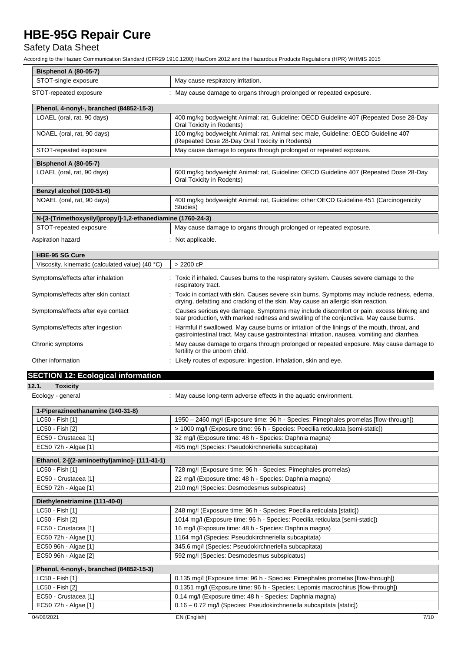## Safety Data Sheet

| Bisphenol A (80-05-7)                                       |                                                                                                                                                                                                 |  |
|-------------------------------------------------------------|-------------------------------------------------------------------------------------------------------------------------------------------------------------------------------------------------|--|
| STOT-single exposure                                        | May cause respiratory irritation.                                                                                                                                                               |  |
| STOT-repeated exposure                                      | : May cause damage to organs through prolonged or repeated exposure.                                                                                                                            |  |
| Phenol, 4-nonyl-, branched (84852-15-3)                     |                                                                                                                                                                                                 |  |
| LOAEL (oral, rat, 90 days)                                  | 400 mg/kg bodyweight Animal: rat, Guideline: OECD Guideline 407 (Repeated Dose 28-Day<br>Oral Toxicity in Rodents)                                                                              |  |
| NOAEL (oral, rat, 90 days)                                  | 100 mg/kg bodyweight Animal: rat, Animal sex: male, Guideline: OECD Guideline 407<br>(Repeated Dose 28-Day Oral Toxicity in Rodents)                                                            |  |
| STOT-repeated exposure                                      | May cause damage to organs through prolonged or repeated exposure.                                                                                                                              |  |
| <b>Bisphenol A (80-05-7)</b>                                |                                                                                                                                                                                                 |  |
| LOAEL (oral, rat, 90 days)                                  | 600 mg/kg bodyweight Animal: rat, Guideline: OECD Guideline 407 (Repeated Dose 28-Day<br>Oral Toxicity in Rodents)                                                                              |  |
| Benzyl alcohol (100-51-6)                                   |                                                                                                                                                                                                 |  |
| NOAEL (oral, rat, 90 days)                                  | 400 mg/kg bodyweight Animal: rat, Guideline: other: OECD Guideline 451 (Carcinogenicity<br>Studies)                                                                                             |  |
| N-[3-(Trimethoxysilyl)propyl]-1,2-ethanediamine (1760-24-3) |                                                                                                                                                                                                 |  |
| STOT-repeated exposure                                      | May cause damage to organs through prolonged or repeated exposure.                                                                                                                              |  |
| Aspiration hazard                                           | : Not applicable.                                                                                                                                                                               |  |
| <b>HBE-95 SG Cure</b>                                       |                                                                                                                                                                                                 |  |
| Viscosity, kinematic (calculated value) (40 $^{\circ}$ C)   | > 2200 cP                                                                                                                                                                                       |  |
| Symptoms/effects after inhalation                           | : Toxic if inhaled. Causes burns to the respiratory system. Causes severe damage to the<br>respiratory tract.                                                                                   |  |
| Symptoms/effects after skin contact                         | : Toxic in contact with skin. Causes severe skin burns. Symptoms may include redness, edema,<br>drying, defatting and cracking of the skin. May cause an allergic skin reaction.                |  |
| Symptoms/effects after eye contact                          | : Causes serious eye damage. Symptoms may include discomfort or pain, excess blinking and<br>tear production, with marked redness and swelling of the conjunctiva. May cause burns.             |  |
| Symptoms/effects after ingestion                            | : Harmful if swallowed. May cause burns or irritation of the linings of the mouth, throat, and<br>gastrointestinal tract. May cause gastrointestinal irritation, nausea, vomiting and diarrhea. |  |
| Chronic symptoms                                            | : May cause damage to organs through prolonged or repeated exposure. May cause damage to<br>fertility or the unborn child.                                                                      |  |
| Other information                                           | : Likely routes of exposure: ingestion, inhalation, skin and eye.                                                                                                                               |  |
| <b>SECTION 12: Ecological information</b>                   |                                                                                                                                                                                                 |  |
| 12.1.<br><b>Toxicity</b>                                    |                                                                                                                                                                                                 |  |
| Ecology - general                                           | : May cause long-term adverse effects in the aquatic environment.                                                                                                                               |  |
| 1-Piperazineethanamine (140-31-8)                           |                                                                                                                                                                                                 |  |
| LC50 - Fish [1]                                             | 1950 - 2460 mg/l (Exposure time: 96 h - Species: Pimephales promelas [flow-through])                                                                                                            |  |
| LC50 - Fish [2]                                             | > 1000 mg/l (Exposure time: 96 h - Species: Poecilia reticulata [semi-static])                                                                                                                  |  |
| EC50 - Crustacea [1]                                        | 32 mg/l (Exposure time: 48 h - Species: Daphnia magna)                                                                                                                                          |  |
| EC50 72h - Algae [1]                                        | 495 mg/l (Species: Pseudokirchneriella subcapitata)                                                                                                                                             |  |
| Ethanol, 2-[(2-aminoethyl)amino]- (111-41-1)                |                                                                                                                                                                                                 |  |
| LC50 - Fish [1]                                             | 728 mg/l (Exposure time: 96 h - Species: Pimephales promelas)                                                                                                                                   |  |
| EC50 - Crustacea [1]                                        | 22 mg/l (Exposure time: 48 h - Species: Daphnia magna)                                                                                                                                          |  |
| EC50 72h - Algae [1]                                        | 210 mg/l (Species: Desmodesmus subspicatus)                                                                                                                                                     |  |
| Diethylenetriamine (111-40-0)                               |                                                                                                                                                                                                 |  |
| LC50 - Fish [1]                                             | 248 mg/l (Exposure time: 96 h - Species: Poecilia reticulata [static])                                                                                                                          |  |
| LC50 - Fish [2]                                             | 1014 mg/l (Exposure time: 96 h - Species: Poecilia reticulata [semi-static])                                                                                                                    |  |
| EC50 - Crustacea [1]                                        | 16 mg/l (Exposure time: 48 h - Species: Daphnia magna)                                                                                                                                          |  |
| EC50 72h - Algae [1]                                        | 1164 mg/l (Species: Pseudokirchneriella subcapitata)                                                                                                                                            |  |
| EC50 96h - Algae [1]                                        | 345.6 mg/l (Species: Pseudokirchneriella subcapitata)                                                                                                                                           |  |
| EC50 96h - Algae [2]                                        | 592 mg/l (Species: Desmodesmus subspicatus)                                                                                                                                                     |  |
| Phenol, 4-nonyl-, branched (84852-15-3)                     |                                                                                                                                                                                                 |  |
| LC50 - Fish [1]                                             | 0.135 mg/l (Exposure time: 96 h - Species: Pimephales promelas [flow-through])                                                                                                                  |  |
| LC50 - Fish [2]                                             | 0.1351 mg/l (Exposure time: 96 h - Species: Lepomis macrochirus [flow-through])                                                                                                                 |  |
| EC50 - Crustacea [1]                                        | 0.14 mg/l (Exposure time: 48 h - Species: Daphnia magna)                                                                                                                                        |  |
| EC50 72h - Algae [1]                                        | 0.16 - 0.72 mg/l (Species: Pseudokirchneriella subcapitata [static])                                                                                                                            |  |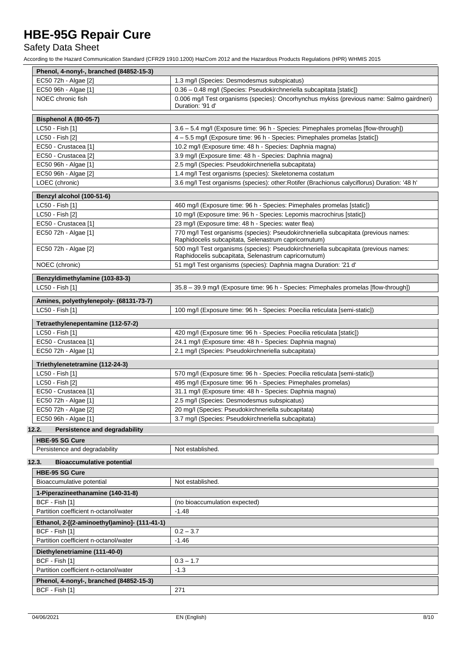## Safety Data Sheet

| Phenol, 4-nonyl-, branched (84852-15-3)                        |                                                                                                                                             |
|----------------------------------------------------------------|---------------------------------------------------------------------------------------------------------------------------------------------|
| EC50 72h - Algae [2]                                           | 1.3 mg/l (Species: Desmodesmus subspicatus)                                                                                                 |
| EC50 96h - Algae [1]                                           | 0.36 - 0.48 mg/l (Species: Pseudokirchneriella subcapitata [static])                                                                        |
| NOEC chronic fish                                              | 0.006 mg/l Test organisms (species): Oncorhynchus mykiss (previous name: Salmo gairdneri)<br>Duration: '91 d'                               |
| <b>Bisphenol A (80-05-7)</b>                                   |                                                                                                                                             |
| LC50 - Fish [1]                                                | 3.6 - 5.4 mg/l (Exposure time: 96 h - Species: Pimephales promelas [flow-through])                                                          |
| LC50 - Fish [2]                                                | 4 - 5.5 mg/l (Exposure time: 96 h - Species: Pimephales promelas [static])                                                                  |
| EC50 - Crustacea [1]                                           | 10.2 mg/l (Exposure time: 48 h - Species: Daphnia magna)                                                                                    |
| EC50 - Crustacea [2]                                           | 3.9 mg/l (Exposure time: 48 h - Species: Daphnia magna)                                                                                     |
| EC50 96h - Algae [1]                                           | 2.5 mg/l (Species: Pseudokirchneriella subcapitata)                                                                                         |
| EC50 96h - Algae [2]                                           | 1.4 mg/l Test organisms (species): Skeletonema costatum                                                                                     |
| LOEC (chronic)                                                 | 3.6 mg/l Test organisms (species): other: Rotifer (Brachionus calyciflorus) Duration: '48 h'                                                |
| Benzyl alcohol (100-51-6)                                      |                                                                                                                                             |
| LC50 - Fish [1]                                                | 460 mg/l (Exposure time: 96 h - Species: Pimephales promelas [static])                                                                      |
| LC50 - Fish [2]                                                | 10 mg/l (Exposure time: 96 h - Species: Lepomis macrochirus [static])                                                                       |
| EC50 - Crustacea [1]                                           | 23 mg/l (Exposure time: 48 h - Species: water flea)                                                                                         |
| EC50 72h - Algae [1]                                           | 770 mg/l Test organisms (species): Pseudokirchneriella subcapitata (previous names:<br>Raphidocelis subcapitata, Selenastrum capricornutum) |
| EC50 72h - Algae [2]                                           | 500 mg/l Test organisms (species): Pseudokirchneriella subcapitata (previous names:<br>Raphidocelis subcapitata, Selenastrum capricornutum) |
| NOEC (chronic)                                                 | 51 mg/l Test organisms (species): Daphnia magna Duration: '21 d'                                                                            |
| Benzyldimethylamine (103-83-3)                                 |                                                                                                                                             |
| LC50 - Fish [1]                                                | 35.8 - 39.9 mg/l (Exposure time: 96 h - Species: Pimephales promelas [flow-through])                                                        |
| Amines, polyethylenepoly- (68131-73-7)                         |                                                                                                                                             |
| LC50 - Fish [1]                                                | 100 mg/l (Exposure time: 96 h - Species: Poecilia reticulata [semi-static])                                                                 |
|                                                                |                                                                                                                                             |
| Tetraethylenepentamine (112-57-2)                              |                                                                                                                                             |
| LC50 - Fish [1]                                                | 420 mg/l (Exposure time: 96 h - Species: Poecilia reticulata [static])                                                                      |
| EC50 - Crustacea [1]<br>EC50 72h - Algae [1]                   | 24.1 mg/l (Exposure time: 48 h - Species: Daphnia magna)<br>2.1 mg/l (Species: Pseudokirchneriella subcapitata)                             |
|                                                                |                                                                                                                                             |
| Triethylenetetramine (112-24-3)                                |                                                                                                                                             |
| LC50 - Fish [1]                                                | 570 mg/l (Exposure time: 96 h - Species: Poecilia reticulata [semi-static])                                                                 |
| LC50 - Fish [2]                                                | 495 mg/l (Exposure time: 96 h - Species: Pimephales promelas)                                                                               |
| EC50 - Crustacea [1]                                           | 31.1 mg/l (Exposure time: 48 h - Species: Daphnia magna)                                                                                    |
| EC50 72h - Algae [1]                                           | 2.5 mg/l (Species: Desmodesmus subspicatus)                                                                                                 |
| EC50 72h - Algae [2]                                           | 20 mg/l (Species: Pseudokirchneriella subcapitata)                                                                                          |
| EC50 96h - Algae [1]                                           | 3.7 mg/l (Species: Pseudokirchneriella subcapitata)                                                                                         |
| <b>Persistence and degradability</b><br>12.2.                  |                                                                                                                                             |
| <b>HBE-95 SG Cure</b><br>Persistence and degradability         | Not established.                                                                                                                            |
|                                                                |                                                                                                                                             |
| 12.3.<br><b>Bioaccumulative potential</b>                      |                                                                                                                                             |
| <b>HBE-95 SG Cure</b>                                          | Not established.                                                                                                                            |
| Bioaccumulative potential                                      |                                                                                                                                             |
| 1-Piperazineethanamine (140-31-8)<br>BCF - Fish [1]            | (no bioaccumulation expected)                                                                                                               |
| Partition coefficient n-octanol/water                          | $-1.48$                                                                                                                                     |
|                                                                |                                                                                                                                             |
| Ethanol, 2-[(2-aminoethyl)amino]- (111-41-1)<br>BCF - Fish [1] |                                                                                                                                             |
| Partition coefficient n-octanol/water                          | $0.2 - 3.7$<br>$-1.46$                                                                                                                      |
|                                                                |                                                                                                                                             |
| Diethylenetriamine (111-40-0)                                  |                                                                                                                                             |
| BCF - Fish [1]<br>Partition coefficient n-octanol/water        | $0.3 - 1.7$                                                                                                                                 |
|                                                                | $-1.3$                                                                                                                                      |
| Phenol, 4-nonyl-, branched (84852-15-3)                        |                                                                                                                                             |
| BCF - Fish [1]                                                 | 271                                                                                                                                         |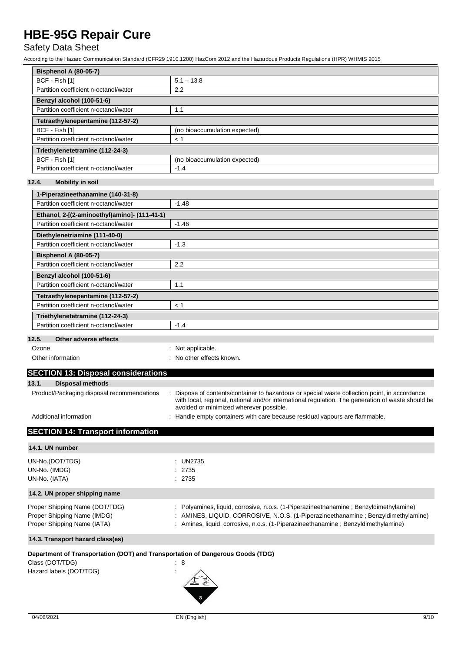## Safety Data Sheet

According to the Hazard Communication Standard (CFR29 1910.1200) HazCom 2012 and the Hazardous Products Regulations (HPR) WHMIS 2015

| <b>Bisphenol A (80-05-7)</b>          |                               |  |
|---------------------------------------|-------------------------------|--|
| BCF - Fish [1]                        | $5.1 - 13.8$                  |  |
| Partition coefficient n-octanol/water | 2.2                           |  |
| Benzyl alcohol (100-51-6)             |                               |  |
| Partition coefficient n-octanol/water | 1.1                           |  |
| Tetraethylenepentamine (112-57-2)     |                               |  |
| BCF - Fish [1]                        | (no bioaccumulation expected) |  |
| Partition coefficient n-octanol/water | < 1                           |  |
| Triethylenetetramine (112-24-3)       |                               |  |
| BCF - Fish [1]                        | (no bioaccumulation expected) |  |
| Partition coefficient n-octanol/water | $-1.4$                        |  |

### **12.4. Mobility in soil**

| 1-Piperazineethanamine (140-31-8)                  |         |  |
|----------------------------------------------------|---------|--|
| Partition coefficient n-octanol/water              | $-1.48$ |  |
| Ethanol, 2-[(2-aminoethyl)amino]- (111-41-1)       |         |  |
| Partition coefficient n-octanol/water              | $-1.46$ |  |
| Diethylenetriamine (111-40-0)                      |         |  |
| Partition coefficient n-octanol/water              | $-1.3$  |  |
| <b>Bisphenol A (80-05-7)</b>                       |         |  |
| Partition coefficient n-octanol/water              | 2.2     |  |
| Benzyl alcohol (100-51-6)                          |         |  |
| Partition coefficient n-octanol/water              | 1.1     |  |
| Tetraethylenepentamine (112-57-2)                  |         |  |
| Partition coefficient n-octanol/water              | < 1     |  |
| Triethylenetetramine (112-24-3)                    |         |  |
| Partition coefficient n-octanol/water              | $-1.4$  |  |
| $A$ the set of the second $B$ of $A$<br>$\sqrt{2}$ |         |  |

#### **12.5. Other adverse effects**

| Ozone | : Not applicable. |
|-------|-------------------|
|-------|-------------------|

| Other information |
|-------------------|
|                   |

: No other effects known.

| <b>SECTION 13: Disposal considerations</b> |                                                                                                                                                                                                                                             |
|--------------------------------------------|---------------------------------------------------------------------------------------------------------------------------------------------------------------------------------------------------------------------------------------------|
| 13.1.<br>Disposal methods                  |                                                                                                                                                                                                                                             |
| Product/Packaging disposal recommendations | Dispose of contents/container to hazardous or special waste collection point, in accordance<br>with local, regional, national and/or international regulation. The generation of waste should be<br>avoided or minimized wherever possible. |

Additional information **interest in the containers** : Handle empty containers with care because residual vapours are flammable.

## **SECTION 14: Transport information**

| 14.1. UN number                                                                                                              |                                                                                                                                                                                                                                                                  |
|------------------------------------------------------------------------------------------------------------------------------|------------------------------------------------------------------------------------------------------------------------------------------------------------------------------------------------------------------------------------------------------------------|
| UN-No.(DOT/TDG)<br>UN-No. (IMDG)<br>UN-No. (IATA)                                                                            | : $UN2735$<br>: 2735<br>: 2735                                                                                                                                                                                                                                   |
| 14.2. UN proper shipping name                                                                                                |                                                                                                                                                                                                                                                                  |
| Proper Shipping Name (DOT/TDG)<br>Proper Shipping Name (IMDG)<br>Proper Shipping Name (IATA)                                 | : Polyamines, liquid, corrosive, n.o.s. (1-Piperazineethanamine; Benzyldimethylamine)<br>: AMINES, LIQUID, CORROSIVE, N.O.S. (1-Piperazineethanamine; Benzyldimethylamine)<br>: Amines, liquid, corrosive, n.o.s. (1-Piperazineethanamine ; Benzyldimethylamine) |
| 14.3. Transport hazard class(es)                                                                                             |                                                                                                                                                                                                                                                                  |
| Department of Transportation (DOT) and Transportation of Dangerous Goods (TDG)<br>Class (DOT/TDG)<br>Hazard labels (DOT/TDG) | : 8                                                                                                                                                                                                                                                              |